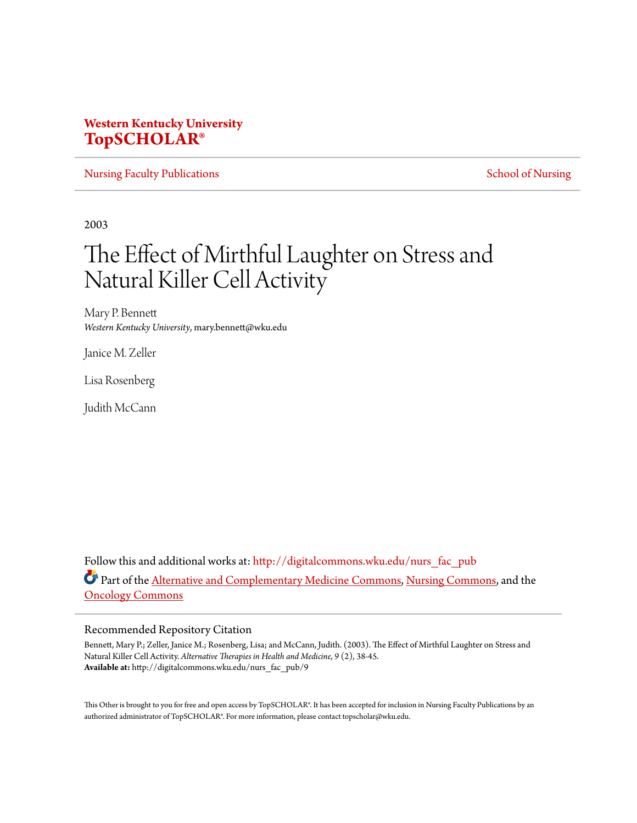## **Western Kentucky University [TopSCHOLAR®](http://digitalcommons.wku.edu?utm_source=digitalcommons.wku.edu%2Fnurs_fac_pub%2F9&utm_medium=PDF&utm_campaign=PDFCoverPages)**

[Nursing Faculty Publications](http://digitalcommons.wku.edu/nurs_fac_pub?utm_source=digitalcommons.wku.edu%2Fnurs_fac_pub%2F9&utm_medium=PDF&utm_campaign=PDFCoverPages) **[School of Nursing](http://digitalcommons.wku.edu/nursing?utm_source=digitalcommons.wku.edu%2Fnurs_fac_pub%2F9&utm_medium=PDF&utm_campaign=PDFCoverPages)** 

2003

# The Effect of Mirthful Laughter on Stress and Natural Killer Cell Activity

Mary P. Bennett *Western Kentucky University*, mary.bennett@wku.edu

Janice M. Zeller

Lisa Rosenberg

Judith McCann

Follow this and additional works at: [http://digitalcommons.wku.edu/nurs\\_fac\\_pub](http://digitalcommons.wku.edu/nurs_fac_pub?utm_source=digitalcommons.wku.edu%2Fnurs_fac_pub%2F9&utm_medium=PDF&utm_campaign=PDFCoverPages) Part of the **[Alternative and Complementary Medicine Commons,](http://network.bepress.com/hgg/discipline/649?utm_source=digitalcommons.wku.edu%2Fnurs_fac_pub%2F9&utm_medium=PDF&utm_campaign=PDFCoverPages) [Nursing Commons](http://network.bepress.com/hgg/discipline/718?utm_source=digitalcommons.wku.edu%2Fnurs_fac_pub%2F9&utm_medium=PDF&utm_campaign=PDFCoverPages)**, and the [Oncology Commons](http://network.bepress.com/hgg/discipline/694?utm_source=digitalcommons.wku.edu%2Fnurs_fac_pub%2F9&utm_medium=PDF&utm_campaign=PDFCoverPages)

### Recommended Repository Citation

Bennett, Mary P.; Zeller, Janice M.; Rosenberg, Lisa; and McCann, Judith. (2003). The Effect of Mirthful Laughter on Stress and Natural Killer Cell Activity. *Alternative Therapies in Health and Medicine*, *9* (2), 38-45. **Available at:** http://digitalcommons.wku.edu/nurs\_fac\_pub/9

This Other is brought to you for free and open access by TopSCHOLAR®. It has been accepted for inclusion in Nursing Faculty Publications by an authorized administrator of TopSCHOLAR®. For more information, please contact topscholar@wku.edu.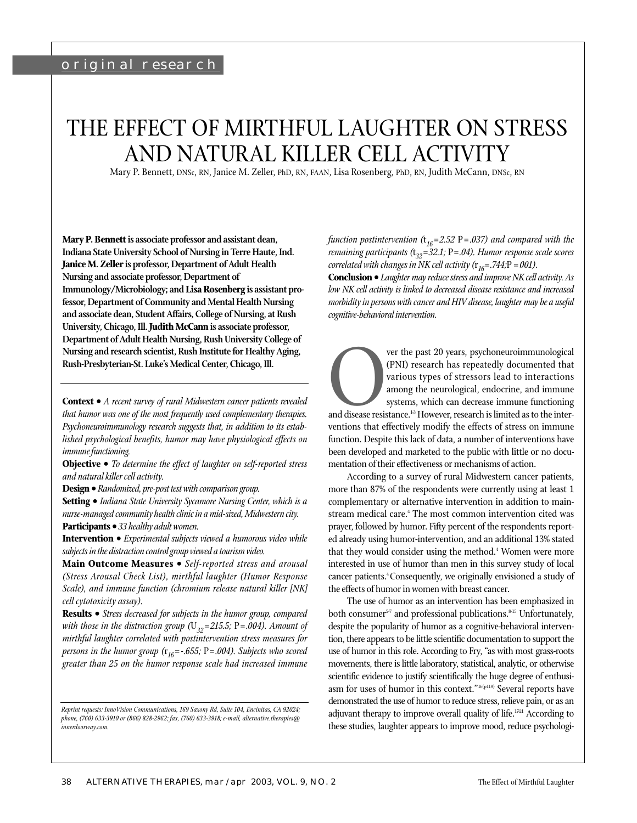## original research

# THE EFFECT OF MIRTHFUL LAUGHTER ON STRESS AND NATURAL KILLER CELL ACTIVITY

Mary P. Bennett, DNSc, RN, Janice M. Zeller, PhD, RN, FAAN, Lisa Rosenberg, PhD, RN, Judith McCann, DNSc, RN

**Mary P. Bennett is associate professor and assistant dean, Indiana State University School of Nursing in Terre Haute, Ind. Janice M. Zeller is professor, Department of Adult Health Nursing and associate professor, Department of Immunology/Microbiology; and Lisa Rosenberg is assistant professor, Department of Community and Mental Health Nursing and associate dean, Student Affairs, College of Nursing, at Rush University, Chicago, Ill. Judith McCann is associate professor, Department of Adult Health Nursing, Rush University College of Nursing and research scientist, Rush Institute for Healthy Aging, Rush-Presbyterian-St. Luke's Medical Center, Chicago, Ill.**

**Context •** *A recent survey of rural Midwestern cancer patients revealed that humor was one of the most frequently used complementary therapies. Psychoneuroimmunology research suggests that, in addition to its established psychological benefits, humor may have physiological effects on immune functioning.*

**Objective •** *To determine the effect of laughter on self-reported stress and natural killer cell activity.*

**Design •** *Randomized, pre-post test with comparison group.* 

**Setting •** *Indiana State University Sycamore Nursing Center, which is a nurse-managed community health clinic in a mid-sized, Midwestern city.*  **Participants •** *33 healthy adult women.*

**Intervention •** *Experimental subjects viewed a humorous video while subjects in the distraction control group viewed a tourism video.*

**Main Outcome Measures •** *Self-reported stress and arousal (Stress Arousal Check List), mirthful laughter (Humor Response Scale), and immune function (chromium release natural killer [NK] cell cytotoxicity assay).*

**Results •** *Stress decreased for subjects in the humor group, compared with those in the distraction group (* $U_{32}$ =215.5; P=.004). Amount of *mirthful laughter correlated with postintervention stress measures for persons in the humor group (*r *<sup>16</sup>=-.655;* P*=.004). Subjects who scored greater than 25 on the humor response scale had increased immune*

*function postintervention (*t *<sup>16</sup>=2.52* P*=.037) and compared with the remaining participants (*t *<sup>32</sup>=32.1;* P*=.04). Humor response scale scores correlated with changes in NK cell activity (*r *<sup>16</sup>=.744;*P *=.001).*

**Conclusion •** *Laughter may reduce stress and improve NK cell activity. As low NK cell activity is linked to decreased disease resistance and increased morbidity in persons with cancer and HIV disease, laughter may be a useful cognitive-behavioral intervention.*

FOVER WE was approximated that various types of stressors lead to interactions among the neurological, endocrine, and immune systems, which can decrease immune functioning and disease resistance.<sup>13</sup> However, research is l (PNI) research has repeatedly documented that various types of stressors lead to interactions among the neurological, endocrine, and immune systems, which can decrease immune functioning and disease resistance. $13$  However, research is limited as to the interfunction. Despite this lack of data, a number of interventions have been developed and marketed to the public with little or no documentation of their effectiveness or mechanisms of action.

According to a survey of rural Midwestern cancer patients, more than 87% of the respondents were currently using at least 1 complementary or alternative intervention in addition to mainstream medical care.<sup>4</sup> The most common intervention cited was prayer, followed by humor. Fifty percent of the respondents reported already using humor-intervention, and an additional 13% stated that they would consider using the method.<sup>4</sup> Women were more interested in use of humor than men in this survey study of local cancer patients.<sup>4</sup> Consequently, we originally envisioned a study of the effects of humor in women with breast cancer.

The use of humor as an intervention has been emphasized in both consumer<sup>5-7</sup> and professional publications.<sup>8-15</sup> Unfortunately, despite the popularity of humor as a cognitive-behavioral intervention, there appears to be little scientific documentation to support the use of humor in this role. According to Fry, "as with most grass-roots movements, there is little laboratory, statistical, analytic, or otherwise scientific evidence to justify scientifically the huge degree of enthusiasm for uses of humor in this context."16(p119) Several reports have demonstrated the use of humor to reduce stress, relieve pain, or as an adjuvant therapy to improve overall quality of life.<sup>1721</sup> According to these studies, laughter appears to improve mood, reduce psychologi-

*Reprint requests: InnoVision Communications, 169 Saxony Rd, Suite 104, Encinitas, CA 92024; phone, (760) 633-3910 or (866) 828-2962; fax, (760) 633-3918; e-mail, alternative.therapies@ innerdoorway.com.*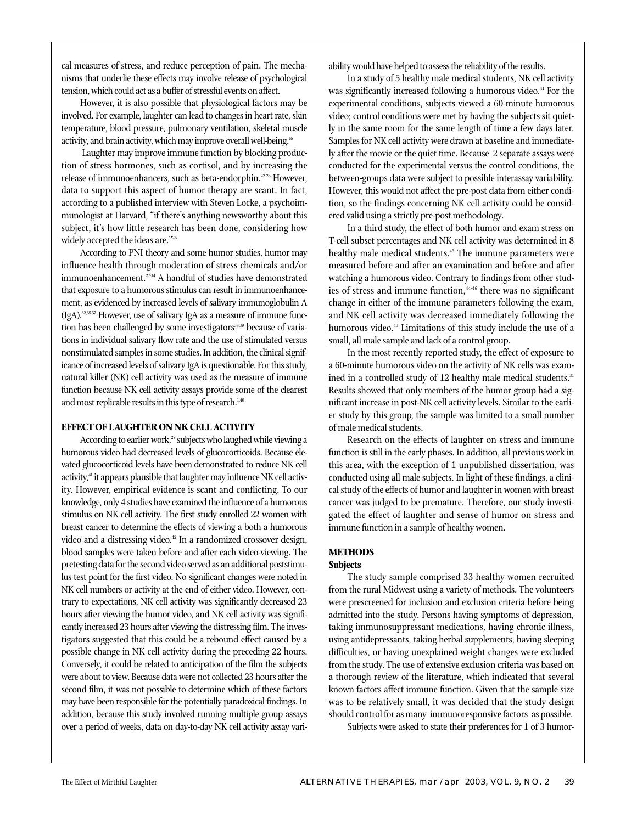cal measures of stress, and reduce perception of pain. The mechanisms that underlie these effects may involve release of psychological tension, which could act as a buffer of stressful events on affect.

However, it is also possible that physiological factors may be involved. For example, laughter can lead to changes in heart rate, skin temperature, blood pressure, pulmonary ventilation, skeletal muscle activity, and brain activity, which may improve overall well-being.<sup>16</sup>

Laughter may improve immune function by blocking production of stress hormones, such as cortisol, and by increasing the release of immunoenhancers, such as beta-endorphin.<sup>22-25</sup> However, data to support this aspect of humor therapy are scant. In fact, according to a published interview with Steven Locke, a psychoimmunologist at Harvard, "if there's anything newsworthy about this subject, it's how little research has been done, considering how widely accepted the ideas are."<sup>26</sup>

According to PNI theory and some humor studies, humor may influence health through moderation of stress chemicals and/or immunoenhancement.<sup>2734</sup> A handful of studies have demonstrated that exposure to a humorous stimulus can result in immunoenhancement, as evidenced by increased levels of salivary immunoglobulin A (IgA).32,35-37 However, use of salivary IgA as a measure of immune function has been challenged by some investigators<sup>38,39</sup> because of variations in individual salivary flow rate and the use of stimulated versus nonstimulated samples in some studies. In addition, the clinical significance of increased levels of salivary IgA is questionable. For this study, natural killer (NK) cell activity was used as the measure of immune function because NK cell activity assays provide some of the clearest and most replicable results in this type of research.<sup>1,40</sup>

#### **EFFECT OF LAUGHTER ON NK CELL ACTIVITY**

According to earlier work,<sup>27</sup> subjects who laughed while viewing a humorous video had decreased levels of glucocorticoids. Because elevated glucocorticoid levels have been demonstrated to reduce NK cell activity,<sup>41</sup> it appears plausible that laughter may influence NK cell activity. However, empirical evidence is scant and conflicting. To our knowledge, only 4 studies have examined the influence of a humorous stimulus on NK cell activity. The first study enrolled 22 women with breast cancer to determine the effects of viewing a both a humorous video and a distressing video.<sup>42</sup> In a randomized crossover design, blood samples were taken before and after each video-viewing. The pretesting data for the second video served as an additional poststimulus test point for the first video. No significant changes were noted in NK cell numbers or activity at the end of either video. However, contrary to expectations, NK cell activity was significantly decreased 23 hours after viewing the humor video, and NK cell activity was significantly increased 23 hours after viewing the distressing film. The investigators suggested that this could be a rebound effect caused by a possible change in NK cell activity during the preceding 22 hours. Conversely, it could be related to anticipation of the film the subjects were about to view. Because data were not collected 23 hours after the second film, it was not possible to determine which of these factors may have been responsible for the potentially paradoxical findings. In addition, because this study involved running multiple group assays over a period of weeks, data on day-to-day NK cell activity assay variability would have helped to assess the reliability of the results.

In a study of 5 healthy male medical students, NK cell activity was significantly increased following a humorous video.<sup>41</sup> For the experimental conditions, subjects viewed a 60-minute humorous video; control conditions were met by having the subjects sit quietly in the same room for the same length of time a few days later. Samples for NK cell activity were drawn at baseline and immediately after the movie or the quiet time. Because 2 separate assays were conducted for the experimental versus the control conditions, the between-groups data were subject to possible interassay variability. However, this would not affect the pre-post data from either condition, so the findings concerning NK cell activity could be considered valid using a strictly pre-post methodology.

In a third study, the effect of both humor and exam stress on T-cell subset percentages and NK cell activity was determined in 8 healthy male medical students.<sup>43</sup> The immune parameters were measured before and after an examination and before and after watching a humorous video. Contrary to findings from other studies of stress and immune function,  $4446$  there was no significant change in either of the immune parameters following the exam, and NK cell activity was decreased immediately following the humorous video.<sup>43</sup> Limitations of this study include the use of a small, all male sample and lack of a control group.

In the most recently reported study, the effect of exposure to a 60-minute humorous video on the activity of NK cells was examined in a controlled study of 12 healthy male medical students.<sup>31</sup> Results showed that only members of the humor group had a significant increase in post-NK cell activity levels. Similar to the earlier study by this group, the sample was limited to a small number of male medical students.

Research on the effects of laughter on stress and immune function is still in the early phases. In addition, all previous work in this area, with the exception of 1 unpublished dissertation, was conducted using all male subjects. In light of these findings, a clinical study of the effects of humor and laughter in women with breast cancer was judged to be premature. Therefore, our study investigated the effect of laughter and sense of humor on stress and immune function in a sample of healthy women.

## **METHODS**

#### **Subjects**

The study sample comprised 33 healthy women recruited from the rural Midwest using a variety of methods. The volunteers were prescreened for inclusion and exclusion criteria before being admitted into the study. Persons having symptoms of depression, taking immunosuppressant medications, having chronic illness, using antidepressants, taking herbal supplements, having sleeping difficulties, or having unexplained weight changes were excluded from the study. The use of extensive exclusion criteria was based on a thorough review of the literature, which indicated that several known factors affect immune function. Given that the sample size was to be relatively small, it was decided that the study design should control for as many immunoresponsive factors as possible.

Subjects were asked to state their preferences for 1 of 3 humor-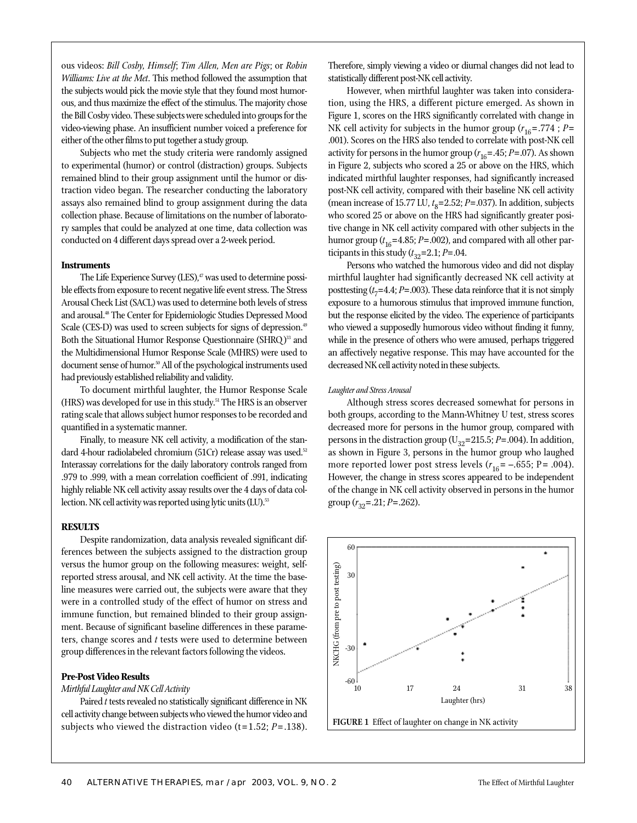ous videos: *Bill Cosby, Himself*; *Tim Allen, Men are Pigs*; or *Robin Williams: Live at the Met*. This method followed the assumption that the subjects would pick the movie style that they found most humorous, and thus maximize the effect of the stimulus. The majority chose the Bill Cosby video. These subjects were scheduled into groups for the video-viewing phase. An insufficient number voiced a preference for either of the other films to put together a study group.

Subjects who met the study criteria were randomly assigned to experimental (humor) or control (distraction) groups. Subjects remained blind to their group assignment until the humor or distraction video began. The researcher conducting the laboratory assays also remained blind to group assignment during the data collection phase. Because of limitations on the number of laboratory samples that could be analyzed at one time, data collection was conducted on 4 different days spread over a 2-week period.

#### **Instruments**

The Life Experience Survey  $(LES)^{47}$  was used to determine possible effects from exposure to recent negative life event stress. The Stress Arousal Check List (SACL) was used to determine both levels of stress and arousal.48 The Center for Epidemiologic Studies Depressed Mood Scale (CES-D) was used to screen subjects for signs of depression.<sup>49</sup> Both the Situational Humor Response Questionnaire (SHRQ)<sup>33</sup> and the Multidimensional Humor Response Scale (MHRS) were used to document sense of humor.<sup>50</sup> All of the psychological instruments used had previously established reliability and validity.

To document mirthful laughter, the Humor Response Scale (HRS) was developed for use in this study.51 The HRS is an observer rating scale that allows subject humor responses to be recorded and quantified in a systematic manner.

Finally, to measure NK cell activity, a modification of the standard 4-hour radiolabeled chromium (51Cr) release assay was used.<sup>52</sup> Interassay correlations for the daily laboratory controls ranged from .979 to .999, with a mean correlation coefficient of .991, indicating highly reliable NK cell activity assay results over the 4 days of data collection. NK cell activity was reported using lytic units (LU).<sup>53</sup>

#### **RESULTS**

Despite randomization, data analysis revealed significant differences between the subjects assigned to the distraction group versus the humor group on the following measures: weight, selfreported stress arousal, and NK cell activity. At the time the baseline measures were carried out, the subjects were aware that they were in a controlled study of the effect of humor on stress and immune function, but remained blinded to their group assignment. Because of significant baseline differences in these parameters, change scores and *t* tests were used to determine between group differences in the relevant factors following the videos.

#### **Pre-Post Video Results**

#### *Mirthful Laughter and NK Cell Activity*

Paired *t* tests revealed no statistically significant difference in NK cell activity change between subjects who viewed the humor video and subjects who viewed the distraction video (t=1.52; *P*= .138).

Therefore, simply viewing a video or diurnal changes did not lead to statistically different post-NK cell activity.

However, when mirthful laughter was taken into consideration, using the HRS, a different picture emerged. As shown in Figure 1, scores on the HRS significantly correlated with change in NK cell activity for subjects in the humor group ( $r_{16}$ =.774 ; *P*= .001). Scores on the HRS also tended to correlate with post-NK cell activity for persons in the humor group  $(r_{16} = .45; P = .07)$ . As shown in Figure 2, subjects who scored a 25 or above on the HRS, which indicated mirthful laughter responses, had significantly increased post-NK cell activity, compared with their baseline NK cell activity (mean increase of 15.77 LU, *t* <sup>8</sup>=2.52; *P*=.037). In addition, subjects who scored 25 or above on the HRS had significantly greater positive change in NK cell activity compared with other subjects in the humor group  $(t_{16} = 4.85; P = .002)$ , and compared with all other participants in this study  $(t_{32}=2.1; P=.04$ .

Persons who watched the humorous video and did not display mirthful laughter had significantly decreased NK cell activity at posttesting (*t* <sup>7</sup>=4.4; *P*=.003). These data reinforce that it is not simply exposure to a humorous stimulus that improved immune function, but the response elicited by the video. The experience of participants who viewed a supposedly humorous video without finding it funny, while in the presence of others who were amused, perhaps triggered an affectively negative response. This may have accounted for the decreased NK cell activity noted in these subjects.

#### *Laughter and Stress Arousal*

Although stress scores decreased somewhat for persons in both groups, according to the Mann-Whitney U test, stress scores decreased more for persons in the humor group, compared with persons in the distraction group ( $U_{32}$ =215.5; *P*=.004). In addition, as shown in Figure 3, persons in the humor group who laughed more reported lower post stress levels  $(r_{16} = -.655; P = .004)$ . However, the change in stress scores appeared to be independent of the change in NK cell activity observed in persons in the humor group (*r* <sup>32</sup>=.21; *P*=.262).

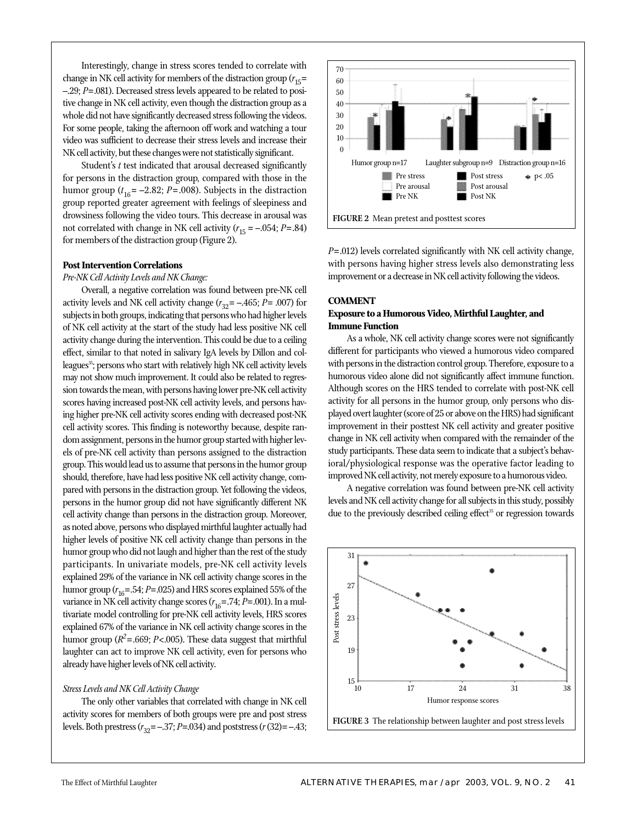Interestingly, change in stress scores tended to correlate with change in NK cell activity for members of the distraction group (*r* 15= –.29; *P*=.081). Decreased stress levels appeared to be related to positive change in NK cell activity, even though the distraction group as a whole did not have significantly decreased stress following the videos. For some people, taking the afternoon off work and watching a tour video was sufficient to decrease their stress levels and increase their NK cell activity, but these changes were not statistically significant.

Student's *t* test indicated that arousal decreased significantly for persons in the distraction group, compared with those in the humor group  $(t_{16} = -2.82; P = .008)$ . Subjects in the distraction group reported greater agreement with feelings of sleepiness and drowsiness following the video tours. This decrease in arousal was not correlated with change in NK cell activity (*r* <sup>15</sup> = –.054; *P*=.84) for members of the distraction group (Figure 2).

#### **Post Intervention Correlations**

#### *Pre-NK Cell Activity Levels and NK Change:*

Overall, a negative correlation was found between pre-NK cell activity levels and NK cell activity change  $(r_{32} = -.465; P = .007)$  for subjects in both groups, indicating that persons who had higher levels of NK cell activity at the start of the study had less positive NK cell activity change during the intervention. This could be due to a ceiling effect, similar to that noted in salivary IgA levels by Dillon and colleagues<sup>35</sup>; persons who start with relatively high NK cell activity levels may not show much improvement. It could also be related to regression towards the mean, with persons having lower pre-NK cell activity scores having increased post-NK cell activity levels, and persons having higher pre-NK cell activity scores ending with decreased post-NK cell activity scores. This finding is noteworthy because, despite random assignment, persons in the humor group started with higher levels of pre-NK cell activity than persons assigned to the distraction group. This would lead us to assume that persons in the humor group should, therefore, have had less positive NK cell activity change, compared with persons in the distraction group. Yet following the videos, persons in the humor group did not have significantly different NK cell activity change than persons in the distraction group. Moreover, as noted above, persons who displayed mirthful laughter actually had higher levels of positive NK cell activity change than persons in the humor group who did not laugh and higher than the rest of the study participants. In univariate models, pre-NK cell activity levels explained 29% of the variance in NK cell activity change scores in the humor group  $(r_{16} = .54; P = .025)$  and HRS scores explained 55% of the variance in NK cell activity change scores (*r* 16=.74; *P*=.001). In a multivariate model controlling for pre-NK cell activity levels, HRS scores explained 67% of the variance in NK cell activity change scores in the humor group ( $R^2$ =.669; *P*<.005). These data suggest that mirthful laughter can act to improve NK cell activity, even for persons who already have higher levels of NK cell activity.

#### *Stress Levels and NK Cell Activity Change*

The only other variables that correlated with change in NK cell activity scores for members of both groups were pre and post stress levels. Both prestress (*r* <sup>32</sup>= –.37; *P*=.034) and poststress (*r*(32)= –.43;



*P*=.012) levels correlated significantly with NK cell activity change, with persons having higher stress levels also demonstrating less improvement or a decrease in NK cell activity following the videos.

#### **COMMENT**

#### **Exposure to a Humorous Video, Mirthful Laughter, and Immune Function**

As a whole, NK cell activity change scores were not significantly different for participants who viewed a humorous video compared with persons in the distraction control group. Therefore, exposure to a humorous video alone did not significantly affect immune function. Although scores on the HRS tended to correlate with post-NK cell activity for all persons in the humor group, only persons who displayed overt laughter (score of 25 or above on the HRS) had significant improvement in their posttest NK cell activity and greater positive change in NK cell activity when compared with the remainder of the study participants. These data seem to indicate that a subject's behavioral/physiological response was the operative factor leading to improved NK cell activity, not merely exposure to a humorous video.

A negative correlation was found between pre-NK cell activity levels and NK cell activity change for all subjects in this study, possibly due to the previously described ceiling effect<sup>35</sup> or regression towards

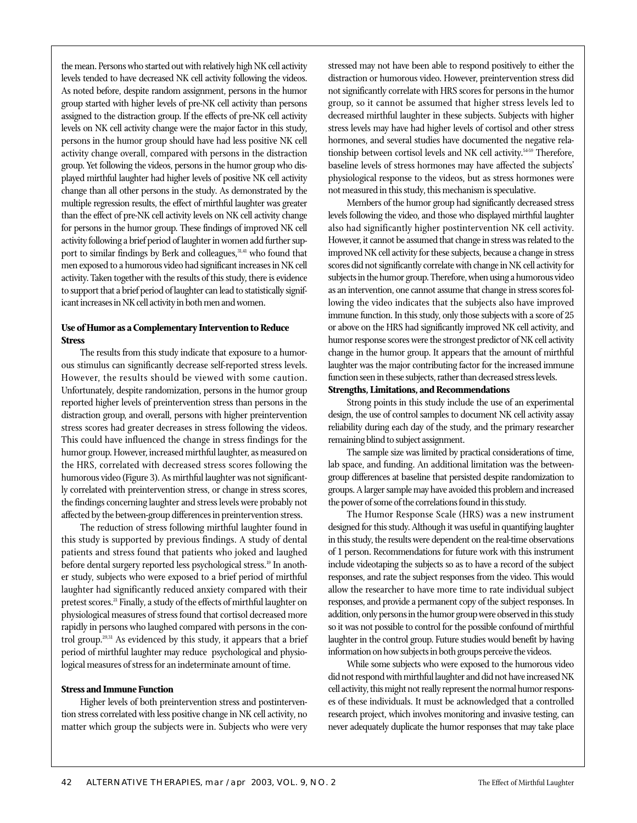the HRS, correlated with decreased stress scores following the humorous video (Figure 3). As mirthful laughter was not significantly correlated with preintervention stress, or change in stress scores, the findings concerning laughter and stress levels were probably not affected by the between-group differences in preintervention stress. The reduction of stress following mirthful laughter found in this study is supported by previous findings. A study of dental patients and stress found that patients who joked and laughed before dental surgery reported less psychological stress.<sup>19</sup> In another study, subjects who were exposed to a brief period of mirthful laughter had significantly reduced anxiety compared with their

icant increases in NK cell activity in both men and women.

**Stress**

**Use of Humor as a Complementary Intervention to Reduce**

The results from this study indicate that exposure to a humorous stimulus can significantly decrease self-reported stress levels. However, the results should be viewed with some caution. Unfortunately, despite randomization, persons in the humor group reported higher levels of preintervention stress than persons in the

the mean. Persons who started out with relatively high NK cell activity levels tended to have decreased NK cell activity following the videos. As noted before, despite random assignment, persons in the humor group started with higher levels of pre-NK cell activity than persons assigned to the distraction group. If the effects of pre-NK cell activity levels on NK cell activity change were the major factor in this study, persons in the humor group should have had less positive NK cell activity change overall, compared with persons in the distraction group. Yet following the videos, persons in the humor group who displayed mirthful laughter had higher levels of positive NK cell activity change than all other persons in the study. As demonstrated by the multiple regression results, the effect of mirthful laughter was greater than the effect of pre-NK cell activity levels on NK cell activity change for persons in the humor group. These findings of improved NK cell activity following a brief period of laughter in women add further support to similar findings by Berk and colleagues,<sup>31,41</sup> who found that men exposed to a humorous video had significant increases in NK cell activity. Taken together with the results of this study, there is evidence to support that a brief period of laughter can lead to statistically signif-

pretest scores.<sup>21</sup> Finally, a study of the effects of mirthful laughter on physiological measures of stress found that cortisol decreased more rapidly in persons who laughed compared with persons in the control group.29,31 As evidenced by this study, it appears that a brief

distraction group, and overall, persons with higher preintervention stress scores had greater decreases in stress following the videos. This could have influenced the change in stress findings for the humor group. However, increased mirthful laughter, as measured on design, the use of control samples to document NK cell activity assay reliability during each day of the study, and the primary researcher remaining blind to subject assignment.

The sample size was limited by practical considerations of time, lab space, and funding. An additional limitation was the betweengroup differences at baseline that persisted despite randomization to groups. A larger sample may have avoided this problem and increased the power of some of the correlations found in this study.

Strong points in this study include the use of an experimental

**Strengths, Limitations, and Recommendations**

stressed may not have been able to respond positively to either the distraction or humorous video. However, preintervention stress did not significantly correlate with HRS scores for persons in the humor group, so it cannot be assumed that higher stress levels led to decreased mirthful laughter in these subjects. Subjects with higher stress levels may have had higher levels of cortisol and other stress hormones, and several studies have documented the negative relationship between cortisol levels and NK cell activity.<sup>5459</sup> Therefore, baseline levels of stress hormones may have affected the subjects' physiological response to the videos, but as stress hormones were

not measured in this study, this mechanism is speculative.

Members of the humor group had significantly decreased stress levels following the video, and those who displayed mirthful laughter also had significantly higher postintervention NK cell activity. However, it cannot be assumed that change in stress was related to the improved NK cell activity for these subjects, because a change in stress scores did not significantly correlate with change in NK cell activity for subjects in the humor group. Therefore, when using a humorous video as an intervention, one cannot assume that change in stress scores following the video indicates that the subjects also have improved immune function. In this study, only those subjects with a score of 25 or above on the HRS had significantly improved NK cell activity, and humor response scores were the strongest predictor of NK cell activity change in the humor group. It appears that the amount of mirthful laughter was the major contributing factor for the increased immune function seen in these subjects, rather than decreased stress levels.

The Humor Response Scale (HRS) was a new instrument designed for this study. Although it was useful in quantifying laughter in this study, the results were dependent on the real-time observations of 1 person. Recommendations for future work with this instrument include videotaping the subjects so as to have a record of the subject responses, and rate the subject responses from the video. This would allow the researcher to have more time to rate individual subject responses, and provide a permanent copy of the subject responses. In addition, only persons in the humor group were observed in this study so it was not possible to control for the possible confound of mirthful laughter in the control group. Future studies would benefit by having information on how subjects in both groups perceive the videos.

While some subjects who were exposed to the humorous video did not respond with mirthful laughter and did not have increased NK cell activity, this might not really represent the normal humor responses of these individuals. It must be acknowledged that a controlled research project, which involves monitoring and invasive testing, can never adequately duplicate the humor responses that may take place

# **Stress and Immune Function**

Higher levels of both preintervention stress and postintervention stress correlated with less positive change in NK cell activity, no matter which group the subjects were in. Subjects who were very

period of mirthful laughter may reduce psychological and physiological measures of stress for an indeterminate amount of time.

42 ALTERNATIVE THERAPIES, MAR/APR 2003, VOL. 9, NO. 2 The Effect of Mirthful Laughter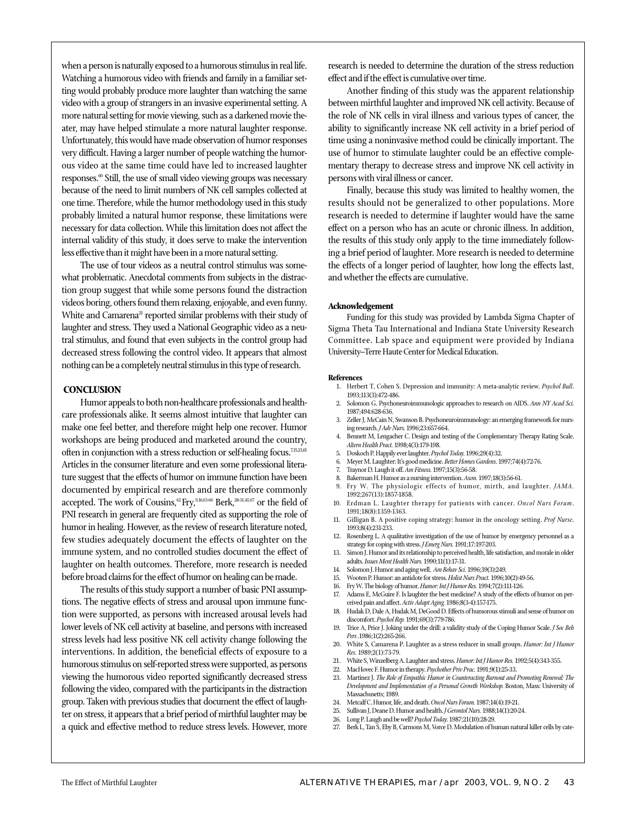when a person is naturally exposed to a humorous stimulus in real life. Watching a humorous video with friends and family in a familiar setting would probably produce more laughter than watching the same video with a group of strangers in an invasive experimental setting. A more natural setting for movie viewing, such as a darkened movie theater, may have helped stimulate a more natural laughter response. Unfortunately, this would have made observation of humor responses very difficult. Having a larger number of people watching the humorous video at the same time could have led to increased laughter responses.<sup>60</sup> Still, the use of small video viewing groups was necessary because of the need to limit numbers of NK cell samples collected at one time. Therefore, while the humor methodology used in this study probably limited a natural humor response, these limitations were necessary for data collection. While this limitation does not affect the internal validity of this study, it does serve to make the intervention less effective than it might have been in a more natural setting.

The use of tour videos as a neutral control stimulus was somewhat problematic. Anecdotal comments from subjects in the distraction group suggest that while some persons found the distraction videos boring, others found them relaxing, enjoyable, and even funny. White and Camarena<sup>21</sup> reported similar problems with their study of laughter and stress. They used a National Geographic video as a neutral stimulus, and found that even subjects in the control group had decreased stress following the control video. It appears that almost nothing can be a completely neutral stimulus in this type of research.

#### **CONCLUSION**

Humor appeals to both non-healthcare professionals and healthcare professionals alike. It seems almost intuitive that laughter can make one feel better, and therefore might help one recover. Humor workshops are being produced and marketed around the country, often in conjunction with a stress reduction or self-healing focus.<sup>7,15,23,61</sup> Articles in the consumer literature and even some professional literature suggest that the effects of humor on immune function have been documented by empirical research and are therefore commonly accepted. The work of Cousins,<sup>62</sup> Fry,<sup>9,16,63-66</sup> Berk,<sup>28-31,41,67</sup> or the field of PNI research in general are frequently cited as supporting the role of humor in healing. However, as the review of research literature noted, few studies adequately document the effects of laughter on the immune system, and no controlled studies document the effect of laughter on health outcomes. Therefore, more research is needed before broad claims for the effect of humor on healing can be made.

The results of this study support a number of basic PNI assumptions. The negative effects of stress and arousal upon immune function were supported, as persons with increased arousal levels had lower levels of NK cell activity at baseline, and persons with increased stress levels had less positive NK cell activity change following the interventions. In addition, the beneficial effects of exposure to a humorous stimulus on self-reported stress were supported, as persons viewing the humorous video reported significantly decreased stress following the video, compared with the participants in the distraction group. Taken with previous studies that document the effect of laughter on stress, it appears that a brief period of mirthful laughter may be a quick and effective method to reduce stress levels. However, more research is needed to determine the duration of the stress reduction effect and if the effect is cumulative over time.

Another finding of this study was the apparent relationship between mirthful laughter and improved NK cell activity. Because of the role of NK cells in viral illness and various types of cancer, the ability to significantly increase NK cell activity in a brief period of time using a noninvasive method could be clinically important. The use of humor to stimulate laughter could be an effective complementary therapy to decrease stress and improve NK cell activity in persons with viral illness or cancer.

Finally, because this study was limited to healthy women, the results should not be generalized to other populations. More research is needed to determine if laughter would have the same effect on a person who has an acute or chronic illness. In addition, the results of this study only apply to the time immediately following a brief period of laughter. More research is needed to determine the effects of a longer period of laughter, how long the effects last, and whether the effects are cumulative.

#### **Acknowledgement**

Funding for this study was provided by Lambda Sigma Chapter of Sigma Theta Tau International and Indiana State University Research Committee. Lab space and equipment were provided by Indiana University–Terre Haute Center for Medical Education.

#### **References**

- 1. Herbert T, Cohen S. Depression and immunity: A meta-analytic review. *Psychol Bull*. 1993;113(3):472-486.
- 2. Solomon G. Psychoneuroimmunologic approaches to research on AIDS. *Ann NY Acad Sci.* 1987;494:628-636.
- 3. Zeller J, McCain N, Swanson B. Psychoneuroimmunology: an emerging framework for nursing research. *J Adv Nurs.* 1996;23:657-664.
- 4. Bennett M, Lengacher C. Design and testing of the Complementary Therapy Rating Scale. *Altern Health Pract.* 1998;4(3):179-198.
- 5. Doskoch P. Happily ever laughter. *Psychol Today.* 1996;29(4):32. 6. Meyer M. Laughter: It's good medicine. *Better Homes Gardens*. 1997;74(4):72-76.
- 
- 7. Traynor D. Laugh it off. *Am Fitness.* 1997;15(3):56-58.
- 8. Bakerman H. Humor as a nursing intervention. *Axon.* 1997;18(3):56-61. 9. Fry W. The physiologic effects of humor, mirth, and laughter. *JAMA.* 1992;267(13):1857-1858.
- 10. Erdman L. Laughter therapy for patients with cancer. *Oncol Nurs Forum*. 1991;18(8):1359-1363.
- 11. Gilligan B. A positive coping strategy: humor in the oncology setting. *Prof Nurse*. 1993;8(4):231-233.
- 12. Rosenberg L. A qualitative investigation of the use of humor by emergency personnel as a strategy for coping with stress. *J Emerg Nurs.* 1991;17:197-203.
- 13. Simon J. Humor and its relationship to perceived health, life satisfaction, and morale in older adults. *Issues Ment Health Nurs.* 1990;11(1):17-31.
- 14. Solomon J. Humor and aging well. *Am Behav Sci.* 1996;39(3):249.
- 15. Wooten P. Humor: an antidote for stress. *Holist Nurs Pract.* 1996;10(2):49-56.
- 16. Fry W. The biology of humor. *Humor: Int J Humor Res.* 1994;7(2):111-126.
- Adams E, McGuire F. Is laughter the best medicine? A study of the effects of humor on perceived pain and affect. *Activ Adapt Aging.* 1986;8(3-4):157-175.
- 18. Hudak D, Dale A, Hudak M, DeGood D. Effects of humorous stimuli and sense of humor on discomfort. *Psychol Rep.* 1991;69(3):779-786.
- 19. Trice A, Price J. Joking under the drill: a validity study of the Coping Humor Scale. *J Soc Beh Pers .*1986;1(2):265-266.
- 20. White S, Camarena P. Laughter as a stress reducer in small groups. *Humor: Int J Humor Res.* 1989;2(1):73-79.
- 21. White S, Winzelberg A. Laughter and stress. *Humor: Int J Humor Res.* 1992;5(4):343-355.
- 22. MacHovec F. Humor in therapy. *Psychother Priv Prac.* 1991;9(1):25-33.
- 23. Martinez J. *The Role of Empathic Humor in Counteracting Burnout and Promoting Renewal: The Development and Implementation of a Personal Growth Workshop.* Boston, Mass: University of Massachusetts; 1989.
- 24. Metcalf C. Humor, life, and death. *Oncol Nurs Forum.* 1987;14(4):19-21.
- 25. Sullivan J, Deane D. Humor and health.*J Gerontol Nurs.* 1988;14(1):20-24.
- 26. Long P. Laugh and be well? *Psychol Today.* 1987;21(10):28-29.
- 27. Berk L, Tan S, Eby B, Carmons M, Vorce D. Modulation of human natural killer cells by cate-